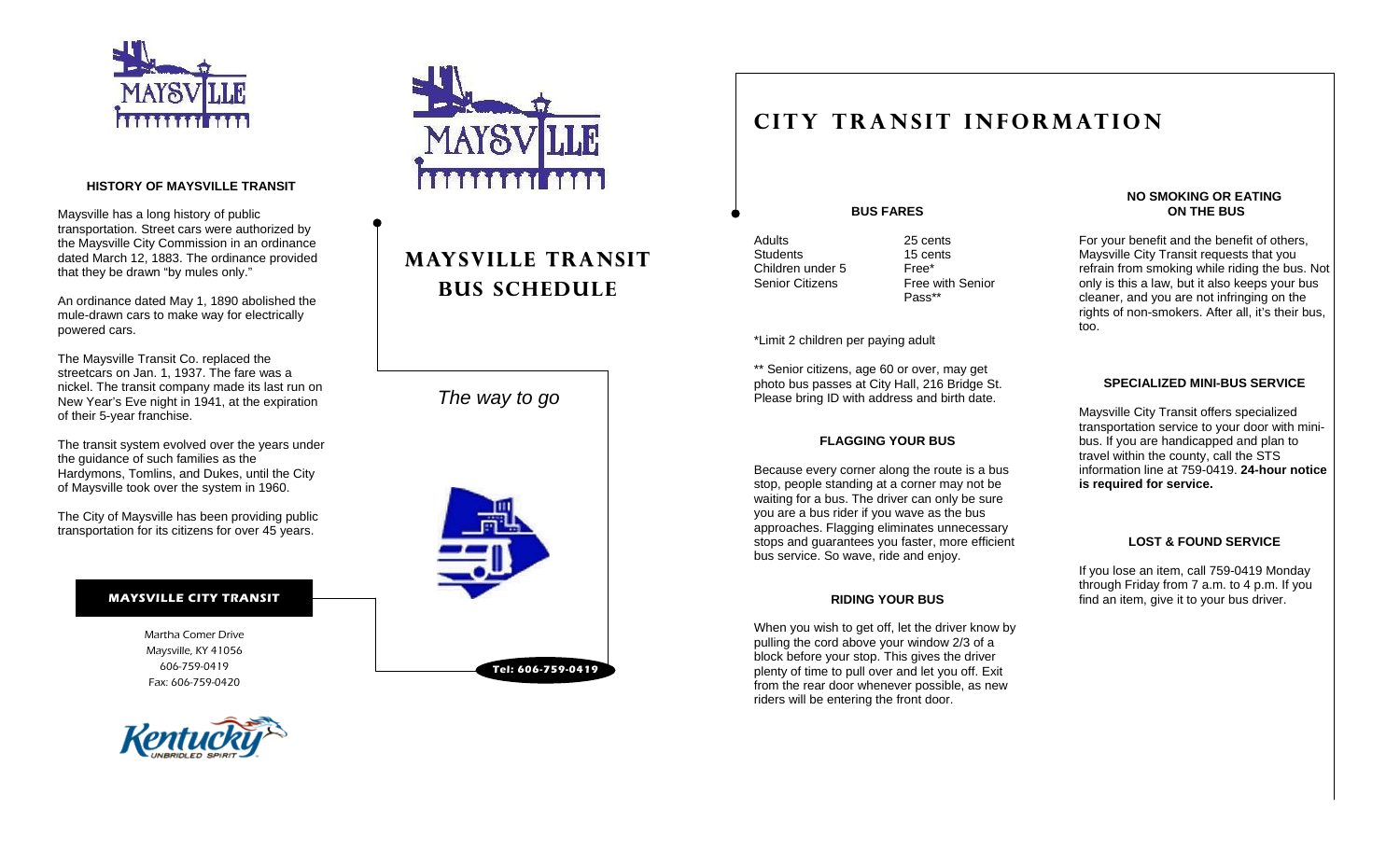

#### **HISTORY OF MAYSVILLE TRANSIT**

Maysville has a long history of public transportation. Street cars were authorized by the Maysville City Commission in an ordinance dated March 12, 1883. The ordinance provided that they be drawn "by mules only."

An ordinance dated May 1, 1890 abolished the mule-drawn cars to make way for electrically powered cars.

The Maysville Transit Co. replaced the streetcars on Jan. 1, 1937. The fare was a nickel. The transit company made its last run on New Year's Eve night in 1941, at the expiration of their 5-year franchise.

The transit system evolved over the years under the guidance of such families as the Hardymons, Tomlins, and Dukes, until the City of Maysville took over the system in 1960.

The City of Maysville has been providing public transportation for its citizens for over 45 years.

#### **MAYSVILLE CITY TRANSIT**

Martha Comer Drive Maysville, KY 41056 606-759-0419 Fax: 606-759-0420





## **MAYSVILLE TRANSIT BUS SCHEDULE**

*The way to go* 



### **CITY TRANSIT INFORMATION**

**BUS FARES** 

Adults 25 cents Students 15 cents Children under 5 Free\*

Senior Citizens Free with Senior Pass\*\*

#### \*Limit 2 children per paying adult

\*\* Senior citizens, age 60 or over, may get photo bus passes at City Hall, 216 Bridge St. Please bring ID with address and birth date.

#### **FLAGGING YOUR BUS**

Because every corner along the route is a bus stop, people standing at a corner may not be waiting for a bus. The driver can only be sure you are a bus rider if you wave as the bus approaches. Flagging eliminates unnecessary stops and guarantees you faster, more efficient bus service. So wave, ride and enjoy.

#### **RIDING YOUR BUS**

When you wish to get off, let the driver know by pulling the cord above your window 2/3 of a block before your stop. This gives the driver plenty of time to pull over and let you off. Exit from the rear door whenever possible, as new riders will be entering the front door.

#### **NO SMOKING OR EATING ON THE BUS**

For your benefit and the benefit of others, Maysville City Transit requests that you refrain from smoking while riding the bus. Not only is this a law, but it also keeps your bus cleaner, and you are not infringing on the rights of non-smokers. After all, it's their bus, too.

#### **SPECIALIZED MINI-BUS SERVICE**

Maysville City Transit offers specialized transportation service to your door with minibus. If you are handicapped and plan to travel within the county, call the STS information line at 759-0419. **24-hour notice is required for service.** 

#### **LOST & FOUND SERVICE**

If you lose an item, call 759-0419 Monday through Friday from 7 a.m. to 4 p.m. If you find an item, give it to your bus driver.